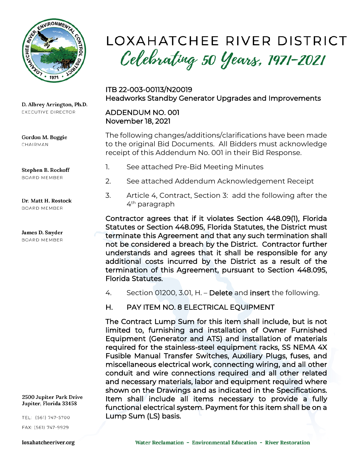

D. Albrey Arrington, Ph.D. EXECUTIVE DIRECTOR

Gordon M. Boggie CHAIRMAN

Stephen B. Rockoff **BOARD MEMBER** 

Dr. Matt H. Rostock **BOARD MEMBER** 

James D. Snyder **BOARD MEMBER** 

2500 Jupiter Park Drive Jupiter, Florida 33458

TEL: (561) 747-5700

FAX: (561) 747-9929

loxahatcheeriver.org

# LOXAHATCHEE RIVER DISTRICT Celebrating 50 Years, 1971-2021

ITB 22-003-00113/N20019 Headworks Standby Generator Upgrades and Improvements

#### ADDENDUM NO. 001 November 18, 2021

The following changes/additions/clarifications have been made to the original Bid Documents. All Bidders must acknowledge receipt of this Addendum No. 001 in their Bid Response.

- 1. See attached Pre-Bid Meeting Minutes
- 2. See attached Addendum Acknowledgement Receipt
- 3. Article 4, Contract, Section 3: add the following after the 4th paragraph

Contractor agrees that if it violates Section 448.09(1), Florida Statutes or Section 448.095, Florida Statutes, the District must terminate this Agreement and that any such termination shall not be considered a breach by the District. Contractor further understands and agrees that it shall be responsible for any additional costs incurred by the District as a result of the termination of this Agreement, pursuant to Section 448.095, Florida Statutes.

- 4. Section 01200, 3.01, H. Delete and insert the following.
- H. PAY ITEM NO. 8 ELECTRICAL EQUIPMENT

The Contract Lump Sum for this item shall include, but is not limited to, furnishing and installation of Owner Furnished Equipment (Generator and ATS) and installation of materials required for the stainless-steel equipment racks, SS NEMA 4X Fusible Manual Transfer Switches, Auxiliary Plugs, fuses, and miscellaneous electrical work, connecting wiring, and all other conduit and wire connections required and all other related and necessary materials, labor and equipment required where shown on the Drawings and as indicated in the Specifications. Item shall include all items necessary to provide a fully functional electrical system. Payment for this item shall be on a Lump Sum (LS) basis.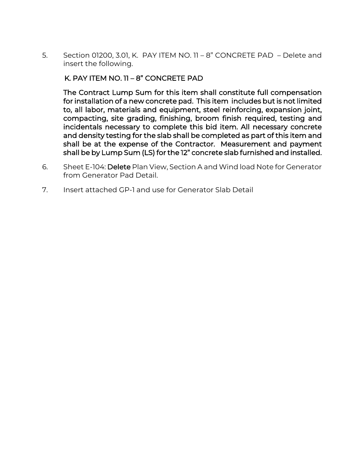5. Section 01200, 3.01, K. PAY ITEM NO. 11 – 8" CONCRETE PAD – Delete and insert the following.

#### K. PAY ITEM NO. 11 – 8" CONCRETE PAD

The Contract Lump Sum for this item shall constitute full compensation for installation of a new concrete pad. This item includes but is not limited to, all labor, materials and equipment, steel reinforcing, expansion joint, compacting, site grading, finishing, broom finish required, testing and incidentals necessary to complete this bid item. All necessary concrete and density testing for the slab shall be completed as part of this item and shall be at the expense of the Contractor. Measurement and payment shall be by Lump Sum (LS) for the 12" concrete slab furnished and installed.

- 6. Sheet E-104: Delete Plan View, Section A and Wind load Note for Generator from Generator Pad Detail.
- 7. Insert attached GP-1 and use for Generator Slab Detail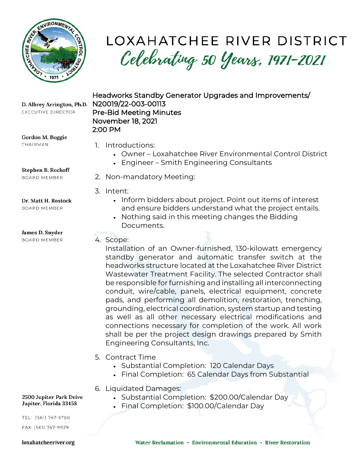

## LOXAHATCHEE RIVER DISTRICT Celebrating 50 Years, 1971-2021

D. Albrey Arrington, Ph.D. EXECUTIVE DIRECTOR

Gordon M. Boggie CHAIRMAN

1. Introductions:

November 18, 2021

2:00 PM

N20019/22-003-00113

Pre-Bid Meeting Minutes

- Owner Loxahatchee River Environmental Control District
- Engineer Smith Engineering Consultants

Headworks Standby Generator Upgrades and Improvements/

Stephen B. Rockoff **BOARD MEMBER** 

#### Dr. Matt H. Rostock

**BOARD MEMBER** 

#### James D. Snyder

**BOARD MEMBER** 

- 2. Non-mandatory Meeting:
- 3. Intent:
	- Inform bidders about project. Point out items of interest and ensure bidders understand what the project entails.
	- Nothing said in this meeting changes the Bidding Documents.

### 4. Scope:

Installation of an Owner-furnished, 130-kilowatt emergency standby generator and automatic transfer switch at the headworks structure located at the Loxahatchee River District Wastewater Treatment Facility. The selected Contractor shall be responsible for furnishing and installing all interconnecting conduit, wire/cable, panels, electrical equipment, concrete pads, and performing all demolition, restoration, trenching, grounding, electrical coordination, system startup and testing as well as all other necessary electrical modifications and connections necessary for completion of the work. All work shall be per the project design drawings prepared by Smith Engineering Consultants, Inc.

### 5. Contract Time

- Substantial Completion: 120 Calendar Days
- Final Completion: 65 Calendar Days from Substantial
- 6. Liquidated Damages:
	- Substantial Completion: \$200.00/Calendar Day
	- Final Completion: \$100.00/Calendar Day

TEL: (561) 747-5700

2500 Jupiter Park Drive Jupiter, Florida 33458

FAX: (561) 747-9929

#### loxahatcheeriver.org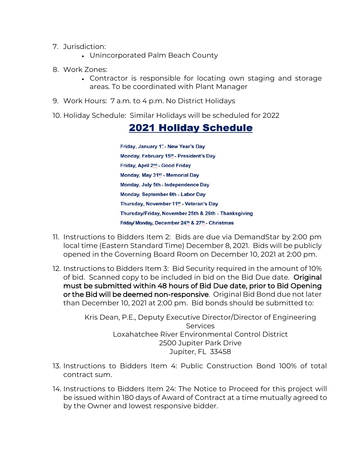- 7. Jurisdiction:
	- Unincorporated Palm Beach County
- 8. Work Zones:
	- Contractor is responsible for locating own staging and storage areas. To be coordinated with Plant Manager
- 9. Work Hours: 7 a.m. to 4 p.m. No District Holidays
- 10. Holiday Schedule: Similar Holidays will be scheduled for 2022

### **2021 Holiday Schedule**

Friday, January 1<sup>e</sup> - New Year's Day Monday, February 15th - President's Day Friday, April 2nd - Good Friday Monday, May 31st - Memorial Day Monday, July 5th - Independence Day Monday, September 6th - Labor Day Thursday, November 11th - Veteran's Day Thursday/Friday, November 25th & 26th - Thanksgiving Friday/Monday, December 24th & 27th - Christmas

- 11. Instructions to Bidders Item 2: Bids are due via DemandStar by 2:00 pm local time (Eastern Standard Time) December 8, 2021. Bids will be publicly opened in the Governing Board Room on December 10, 2021 at 2:00 pm.
- 12. Instructions to Bidders Item 3: Bid Security required in the amount of 10% of bid. Scanned copy to be included in bid on the Bid Due date. Original must be submitted within 48 hours of Bid Due date, prior to Bid Opening or the Bid will be deemed non-responsive. Original Bid Bond due not later than December 10, 2021 at 2:00 pm. Bid bonds should be submitted to:

Kris Dean, P.E., Deputy Executive Director/Director of Engineering **Services** Loxahatchee River Environmental Control District 2500 Jupiter Park Drive Jupiter, FL 33458

- 13. Instructions to Bidders Item 4: Public Construction Bond 100% of total contract sum.
- 14. Instructions to Bidders Item 24: The Notice to Proceed for this project will be issued within 180 days of Award of Contract at a time mutually agreed to by the Owner and lowest responsive bidder.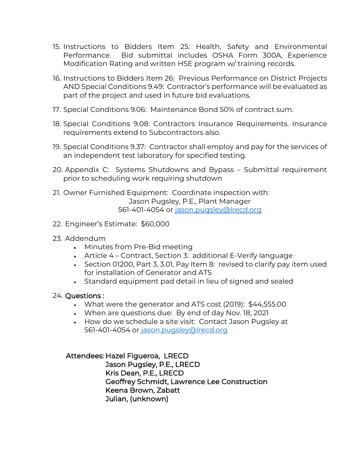- 15. Instructions to Bidders Item 25: Health, Safety and Environmental Performance. Bid submittal includes OSHA Form 300A, Experience Modification Rating and written HSE program w/ training records.
- 16. Instructions to Bidders Item 26: Previous Performance on District Projects AND Special Conditions 9.49: Contractor's performance will be evaluated as part of the project and used in future bid evaluations.
- 17. Special Conditions 9.06: Maintenance Bond 50% of contract sum.
- 18. Special Conditions 9.08: Contractors Insurance Requirements. Insurance requirements extend to Subcontractors also.
- 19. Special Conditions 9.37: Contractor shall employ and pay for the services of an independent test laboratory for specified testing.
- 20. Appendix C: Systems Shutdowns and Bypass Submittal requirement prior to scheduling work requiring shutdown
- 21. Owner Furnished Equipment: Coordinate inspection with: Jason Pugsley, P.E., Plant Manager 561-401-4054 or [jason.pugsley@lrecd.org](mailto:jason.pugsley@lrecd.org)
- 22. Engineer's Estimate: \$60,000
- 23. Addendum
	- Minutes from Pre-Bid meeting
	- Article 4 Contract, Section 3: additional E-Verify language
	- Section 01200, Part 3, 3.01, Pay Item 8: revised to clarify pay item used for installation of Generator and ATS
	- Standard equipment pad detail in lieu of signed and sealed

#### 24. Questions :

- What were the generator and ATS cost (2019): \$44,555.00
- When are questions due: By end of day Nov. 18, 2021
- How do we schedule a site visit: Contact Jason Pugsley at 561-401-4054 or [jason.pugsley@lrecd.org](mailto:jason.pugsley@lrecd.org)

#### Attendees: Hazel Figueroa, LRECD

 Jason Pugsley, P.E., LRECD Kris Dean, P.E., LRECD Geoffrey Schmidt, Lawrence Lee Construction Keena Brown, Zabatt Julian, (unknown)